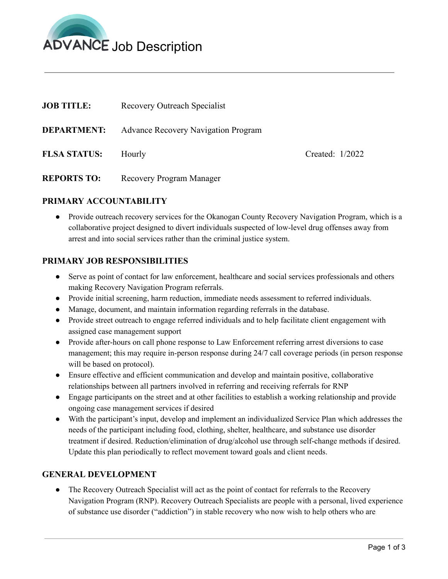

| <b>JOB TITLE:</b>   | Recovery Outreach Specialist               |                   |
|---------------------|--------------------------------------------|-------------------|
| <b>DEPARTMENT:</b>  | <b>Advance Recovery Navigation Program</b> |                   |
| <b>FLSA STATUS:</b> | Hourly                                     | Created: $1/2022$ |

**REPORTS TO:** Recovery Program Manager

# **PRIMARY ACCOUNTABILITY**

● Provide outreach recovery services for the Okanogan County Recovery Navigation Program, which is a collaborative project designed to divert individuals suspected of low-level drug offenses away from arrest and into social services rather than the criminal justice system.

# **PRIMARY JOB RESPONSIBILITIES**

- Serve as point of contact for law enforcement, healthcare and social services professionals and others making Recovery Navigation Program referrals.
- Provide initial screening, harm reduction, immediate needs assessment to referred individuals.
- Manage, document, and maintain information regarding referrals in the database.
- Provide street outreach to engage referred individuals and to help facilitate client engagement with assigned case management support
- Provide after-hours on call phone response to Law Enforcement referring arrest diversions to case management; this may require in-person response during 24/7 call coverage periods (in person response will be based on protocol).
- Ensure effective and efficient communication and develop and maintain positive, collaborative relationships between all partners involved in referring and receiving referrals for RNP
- Engage participants on the street and at other facilities to establish a working relationship and provide ongoing case management services if desired
- With the participant's input, develop and implement an individualized Service Plan which addresses the needs of the participant including food, clothing, shelter, healthcare, and substance use disorder treatment if desired. Reduction/elimination of drug/alcohol use through self-change methods if desired. Update this plan periodically to reflect movement toward goals and client needs.

# **GENERAL DEVELOPMENT**

• The Recovery Outreach Specialist will act as the point of contact for referrals to the Recovery Navigation Program (RNP). Recovery Outreach Specialists are people with a personal, lived experience of substance use disorder ("addiction") in stable recovery who now wish to help others who are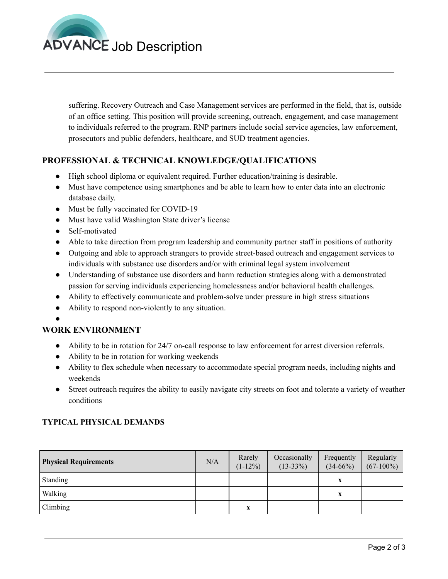

suffering. Recovery Outreach and Case Management services are performed in the field, that is, outside of an office setting. This position will provide screening, outreach, engagement, and case management to individuals referred to the program. RNP partners include social service agencies, law enforcement, prosecutors and public defenders, healthcare, and SUD treatment agencies.

# **PROFESSIONAL & TECHNICAL KNOWLEDGE/QUALIFICATIONS**

- High school diploma or equivalent required. Further education/training is desirable.
- Must have competence using smartphones and be able to learn how to enter data into an electronic database daily.
- Must be fully vaccinated for COVID-19
- Must have valid Washington State driver's license
- Self-motivated
- Able to take direction from program leadership and community partner staff in positions of authority
- Outgoing and able to approach strangers to provide street-based outreach and engagement services to individuals with substance use disorders and/or with criminal legal system involvement
- Understanding of substance use disorders and harm reduction strategies along with a demonstrated passion for serving individuals experiencing homelessness and/or behavioral health challenges.
- Ability to effectively communicate and problem-solve under pressure in high stress situations
- Ability to respond non-violently to any situation.
- ●

# **WORK ENVIRONMENT**

- Ability to be in rotation for 24/7 on-call response to law enforcement for arrest diversion referrals.
- Ability to be in rotation for working weekends
- Ability to flex schedule when necessary to accommodate special program needs, including nights and weekends
- Street outreach requires the ability to easily navigate city streets on foot and tolerate a variety of weather conditions

# **TYPICAL PHYSICAL DEMANDS**

| <b>Physical Requirements</b> | N/A | Rarely<br>$(1-12\%)$ | Occasionally<br>$(13-33\%)$ | Frequently<br>$(34-66%)$ | Regularly<br>$(67-100\%)$ |
|------------------------------|-----|----------------------|-----------------------------|--------------------------|---------------------------|
| Standing                     |     |                      |                             |                          |                           |
| Walking                      |     |                      |                             | x                        |                           |
| Climbing                     |     | X                    |                             |                          |                           |